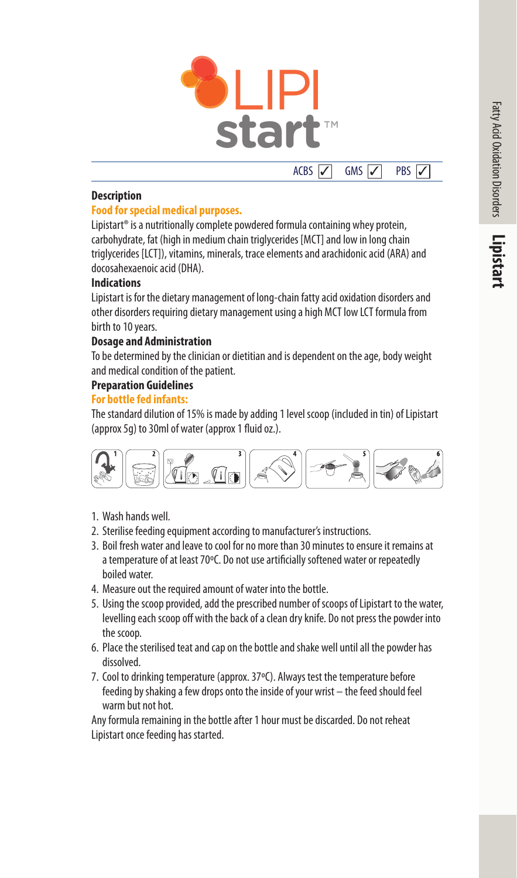



### **Description**

### **Food for special medical purposes.**

Lipistart<sup>®</sup> is a nutritionally complete powdered formula containing whey protein, carbohydrate, fat (high in medium chain triglycerides [MCT] and low in long chain triglycerides [LCT]), vitamins, minerals, trace elements and arachidonic acid (ARA) and docosahexaenoic acid (DHA).

### **Indications**

Lipistart is for the dietary management of long-chain fatty acid oxidation disorders and other disorders requiring dietary management using a high MCT low LCT formula from birth to 10 years.

## **Dosage and Administration**

To be determined by the clinician or dietitian and is dependent on the age, body weight and medical condition of the patient.

### **Preparation Guidelines**

### **For bottle fed infants:**

The standard dilution of 15% is made by adding 1 level scoop (included in tin) of Lipistart (approx 5g) to 30ml of water (approx 1 fluid oz.).



- 1. Wash hands well.
- 2. Sterilise feeding equipment according to manufacturer's instructions.
- 3. Boil fresh water and leave to cool for no more than 30 minutes to ensure it remains at a temperature of at least 70ºC. Do not use artificially softened water or repeatedly boiled water.
- 4. Measure out the required amount of water into the bottle.
- 5. Using the scoop provided, add the prescribed number of scoops of Lipistart to the water, levelling each scoop off with the back of a clean dry knife. Do not press the powder into the scoop.
- 6. Place the sterilised teat and cap on the bottle and shake well until all the powder has dissolved.
- 7. Cool to drinking temperature (approx. 37ºC). Always test the temperature before feeding by shaking a few drops onto the inside of your wrist – the feed should feel warm but not hot.

Any formula remaining in the bottle after 1 hour must be discarded. Do not reheat Lipistart once feeding has started.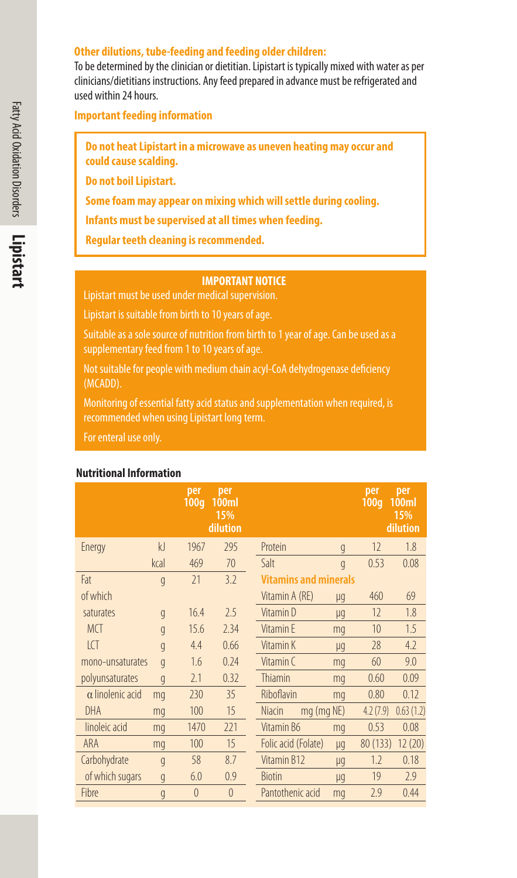### **Other dilutions, tube-feeding and feeding older children:**

To be determined by the clinician or dietitian. Lipistart is typically mixed with water as per clinicians/dietitians instructions. Any feed prepared in advance must be refrigerated and used within 24 hours.

**Important feeding information**

**Do not heat Lipistart in a microwave as uneven heating may occur and could cause scalding.**

**Do not boil Lipistart.** 

**Some foam may appear on mixing which will settle during cooling.**

**Infants must be supervised at all times when feeding.**

**Regular teeth cleaning is recommended.** 

### **IMPORTANT NOTICE**

Lipistart must be used under medical supervision.

Lipistart is suitable from birth to 10 years of age.

Suitable as a sole source of nutrition from birth to 1 year of age. Can be used as a supplementary feed from 1 to 10 years of age.

Not suitable for people with medium chain acyl-CoA dehydrogenase deficiency (MCADD).

Monitoring of essential fatty acid status and supplementation when required, is

For enteral use only.

### **Nutritional Information**

|                         |                | per<br>100q | per<br>100ml<br>15%<br>dilution |               |                              |                | per<br>100q | per<br>100ml<br>15%<br>dilution |  |  |
|-------------------------|----------------|-------------|---------------------------------|---------------|------------------------------|----------------|-------------|---------------------------------|--|--|
| Energy                  | k              | 1967        | 295                             | Protein       |                              | g              | 12          | 1.8                             |  |  |
|                         | kcal           | 469         | 70                              | Salt          |                              | $\overline{g}$ | 0.53        | 0.08                            |  |  |
| Fat                     | q              | 71          | 3.2                             |               | <b>Vitamins and minerals</b> |                |             |                                 |  |  |
| of which                |                |             |                                 |               | Vitamin A (RE)               | μg             | 460         | 69                              |  |  |
| saturates               | q              | 16.4        | 2.5                             |               | Vitamin D                    | μg             | 12          | 1.8                             |  |  |
| <b>MCT</b>              | q              | 15.6        | 2.34                            |               | Vitamin F                    | mq             | 10          | 1.5                             |  |  |
| ICT                     | q              | 4.4         | 0.66                            |               | Vitamin K                    | μq             | 28          | 4.2                             |  |  |
| mono-unsaturates        | q              | 1.6         | 0.24                            |               | Vitamin C                    | mq             | 60          | 9.0                             |  |  |
| polyunsaturates         | q              | 2.1         | 0.32                            |               | Thiamin                      | mq             | 0.60        | 0.09                            |  |  |
| $\alpha$ linolenic acid | mq             | 230         | 35                              |               | Riboflavin                   | mq             | 0.80        | 0.12                            |  |  |
| DHA                     | mq             | 100         | 15                              | <b>Niacin</b> |                              | mg (mg NE)     | 4.2(7.9)    | 0.63(1.2)                       |  |  |
| linoleic acid           | mq             | 1470        | 221                             |               | Vitamin B6                   | mq             | 0.53        | 0.08                            |  |  |
| ARA                     | mq             | 100         | 15                              |               | Folic acid (Folate)          | μg             | 80 (133)    | 12 (20)                         |  |  |
| Carbohydrate            | q              | 58          | 8.7                             |               | Vitamin B12                  | μg             | 1.2         | 0.18                            |  |  |
| of which sugars         | q              | 6.0         | 0.9                             | <b>Biotin</b> |                              | μq             | 19          | 2.9                             |  |  |
| Fibre                   | $\mathfrak{g}$ | $\theta$    | $\Omega$                        |               | Pantothenic acid             | mq             | 2.9         | 0.44                            |  |  |